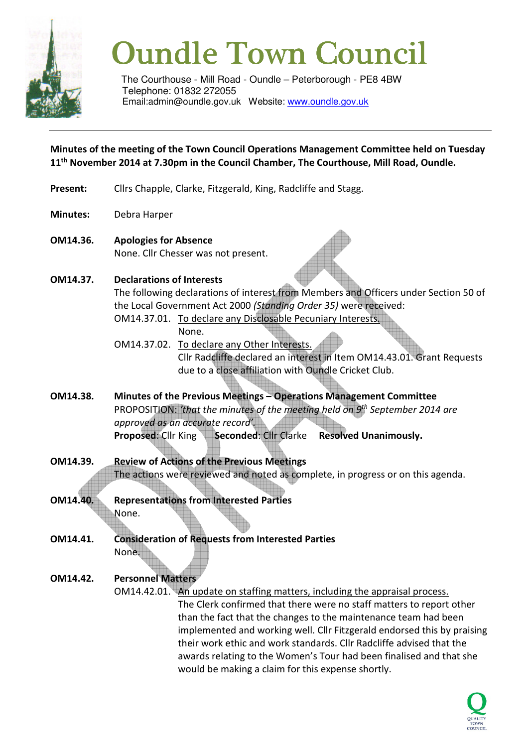

# **Oundle Town Council**

The Courthouse - Mill Road - Oundle – Peterborough - PE8 4BW Telephone: 01832 272055 Email:admin@oundle.gov.uk Website: www.oundle.gov.uk

**Minutes of the meeting of the Town Council Operations Management Committee held on Tuesday 11th November 2014 at 7.30pm in the Council Chamber, The Courthouse, Mill Road, Oundle.** 

- **Present:** Cllrs Chapple, Clarke, Fitzgerald, King, Radcliffe and Stagg.
- **Minutes:** Debra Harper
- **OM14.36. Apologies for Absence** None. Cllr Chesser was not present.
- **OM14.37. Declarations of Interests**

The following declarations of interest from Members and Officers under Section 50 of the Local Government Act 2000 *(Standing Order 35)* were received:

- OM14.37.01. To declare any Disclosable Pecuniary Interests. None.
- OM14.37.02. To declare any Other Interests. Cllr Radcliffe declared an interest in Item OM14.43.01. Grant Requests due to a close affiliation with Oundle Cricket Club.
- **OM14.38. Minutes of the Previous Meetings Operations Management Committee**  PROPOSITION: *'that the minutes of the meeting held on 9th September 2014 are approved as an accurate record'.*  **Proposed: Cllr King Seconded: Cllr Clarke Resolved Unanimously.**
- **OM14.39. Review of Actions of the Previous Meetings** The actions were reviewed and noted as complete, in progress or on this agenda.
- **OM14.40. Representations from Interested Parties** None.
- **OM14.41. Consideration of Requests from Interested Parties**  None.
- **OM14.42. Personnel Matters**

OM14.42.01. An update on staffing matters, including the appraisal process. The Clerk confirmed that there were no staff matters to report other than the fact that the changes to the maintenance team had been implemented and working well. Cllr Fitzgerald endorsed this by praising their work ethic and work standards. Cllr Radcliffe advised that the awards relating to the Women's Tour had been finalised and that she would be making a claim for this expense shortly.

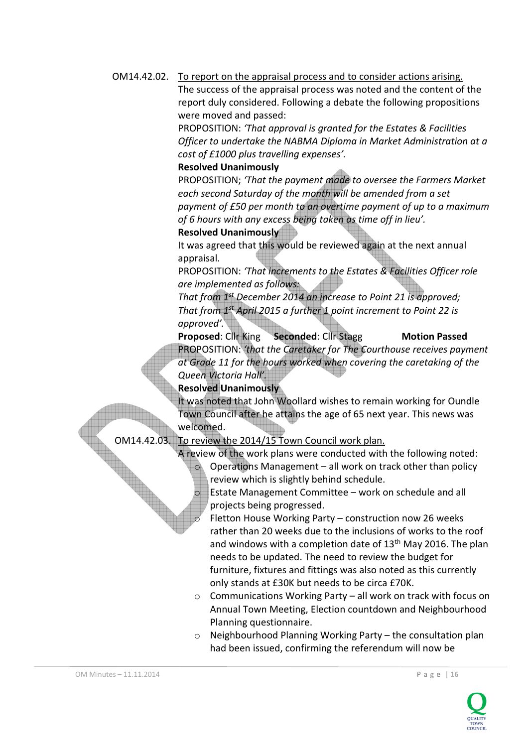OM14.42.02. To report on the appraisal process and to consider actions arising.

 The success of the appraisal process was noted and the content of the report duly considered. Following a debate the following propositions were moved and passed:

 PROPOSITION: *'That approval is granted for the Estates & Facilities Officer to undertake the NABMA Diploma in Market Administration at a cost of £1000 plus travelling expenses'.* 

### **Resolved Unanimously**

 PROPOSITION; *'That the payment made to oversee the Farmers Market each second Saturday of the month will be amended from a set payment of £50 per month to an overtime payment of up to a maximum of 6 hours with any excess being taken as time off in lieu'.* 

#### **Resolved Unanimously**

It was agreed that this would be reviewed again at the next annual appraisal.

PROPOSITION: *'That increments to the Estates & Facilities Officer role are implemented as follows:* 

 *That from 1st December 2014 an increase to Point 21 is approved; That from 1st April 2015 a further 1 point increment to Point 22 is approved'.* 

**Proposed: Cllr King Seconded: Cllr Stagg Motion Passed**  PROPOSITION: *'that the Caretaker for The Courthouse receives payment at Grade 11 for the hours worked when covering the caretaking of the Queen Victoria Hall'.* 

## **Resolved Unanimously**

 It was noted that John Woollard wishes to remain working for Oundle Town Council after he attains the age of 65 next year. This news was welcomed.

OM14.42.03. To review the 2014/15 Town Council work plan.

 A review of the work plans were conducted with the following noted: Operations Management – all work on track other than policy review which is slightly behind schedule.

Estate Management Committee – work on schedule and all projects being progressed.

Fletton House Working Party – construction now 26 weeks rather than 20 weeks due to the inclusions of works to the roof and windows with a completion date of  $13<sup>th</sup>$  May 2016. The plan needs to be updated. The need to review the budget for furniture, fixtures and fittings was also noted as this currently only stands at £30K but needs to be circa £70K.

- o Communications Working Party all work on track with focus on Annual Town Meeting, Election countdown and Neighbourhood Planning questionnaire.
- o Neighbourhood Planning Working Party the consultation plan had been issued, confirming the referendum will now be

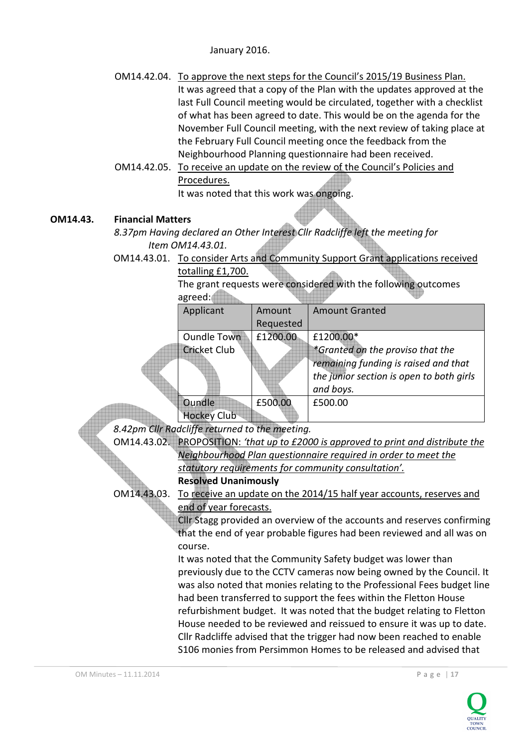January 2016.

- OM14.42.04. To approve the next steps for the Council's 2015/19 Business Plan. It was agreed that a copy of the Plan with the updates approved at the last Full Council meeting would be circulated, together with a checklist of what has been agreed to date. This would be on the agenda for the November Full Council meeting, with the next review of taking place at the February Full Council meeting once the feedback from the Neighbourhood Planning questionnaire had been received.
- OM14.42.05. To receive an update on the review of the Council's Policies and Procedures.

It was noted that this work was ongoing.

## **OM14.43. Financial Matters**

*8.37pm Having declared an Other Interest Cllr Radcliffe left the meeting for Item OM14.43.01.* 

OM14.43.01. To consider Arts and Community Support Grant applications received

|  | totalling £1,700.                                                |                                                                                                                                                                                                                           |           |                                          |  |
|--|------------------------------------------------------------------|---------------------------------------------------------------------------------------------------------------------------------------------------------------------------------------------------------------------------|-----------|------------------------------------------|--|
|  |                                                                  | The grant requests were considered with the following outcomes                                                                                                                                                            |           |                                          |  |
|  |                                                                  | agreed:                                                                                                                                                                                                                   |           |                                          |  |
|  |                                                                  | Applicant                                                                                                                                                                                                                 | Amount    | <b>Amount Granted</b>                    |  |
|  |                                                                  |                                                                                                                                                                                                                           | Requested |                                          |  |
|  |                                                                  | <b>Oundle Town</b>                                                                                                                                                                                                        | £1200.00  | £1200.00*                                |  |
|  |                                                                  | <b>Cricket Club</b>                                                                                                                                                                                                       |           | *Granted on the proviso that the         |  |
|  |                                                                  |                                                                                                                                                                                                                           |           | remaining funding is raised and that     |  |
|  |                                                                  |                                                                                                                                                                                                                           |           | the junior section is open to both girls |  |
|  |                                                                  |                                                                                                                                                                                                                           |           | and boys.                                |  |
|  |                                                                  | Oundle                                                                                                                                                                                                                    | £500.00   | £500.00                                  |  |
|  |                                                                  | <b>Hockey Club</b>                                                                                                                                                                                                        |           |                                          |  |
|  |                                                                  | 8.42pm Cllr Radcliffe returned to the meeting.                                                                                                                                                                            |           |                                          |  |
|  |                                                                  | OM14.43.02. PROPOSITION: 'that up to £2000 is approved to print and distribute the                                                                                                                                        |           |                                          |  |
|  |                                                                  | Neighbourhood Plan questionnaire required in order to meet the                                                                                                                                                            |           |                                          |  |
|  |                                                                  | statutory requirements for community consultation'.                                                                                                                                                                       |           |                                          |  |
|  |                                                                  | <b>Resolved Unanimously</b>                                                                                                                                                                                               |           |                                          |  |
|  | OM14.43.03.                                                      | To receive an update on the 2014/15 half year accounts, reserves and                                                                                                                                                      |           |                                          |  |
|  |                                                                  | end of year forecasts.<br>Cllr Stagg provided an overview of the accounts and reserves confirming<br>that the end of year probable figures had been reviewed and all was on                                               |           |                                          |  |
|  |                                                                  |                                                                                                                                                                                                                           |           |                                          |  |
|  |                                                                  |                                                                                                                                                                                                                           |           |                                          |  |
|  | course.                                                          |                                                                                                                                                                                                                           |           |                                          |  |
|  |                                                                  | It was noted that the Community Safety budget was lower than<br>previously due to the CCTV cameras now being owned by the Council. It                                                                                     |           |                                          |  |
|  |                                                                  |                                                                                                                                                                                                                           |           |                                          |  |
|  |                                                                  | was also noted that monies relating to the Professional Fees budget line                                                                                                                                                  |           |                                          |  |
|  |                                                                  | had been transferred to support the fees within the Fletton House                                                                                                                                                         |           |                                          |  |
|  |                                                                  | refurbishment budget. It was noted that the budget relating to Fletton<br>House needed to be reviewed and reissued to ensure it was up to date.<br>Cllr Radcliffe advised that the trigger had now been reached to enable |           |                                          |  |
|  |                                                                  |                                                                                                                                                                                                                           |           |                                          |  |
|  | S106 monies from Persimmon Homes to be released and advised that |                                                                                                                                                                                                                           |           |                                          |  |
|  |                                                                  |                                                                                                                                                                                                                           |           |                                          |  |